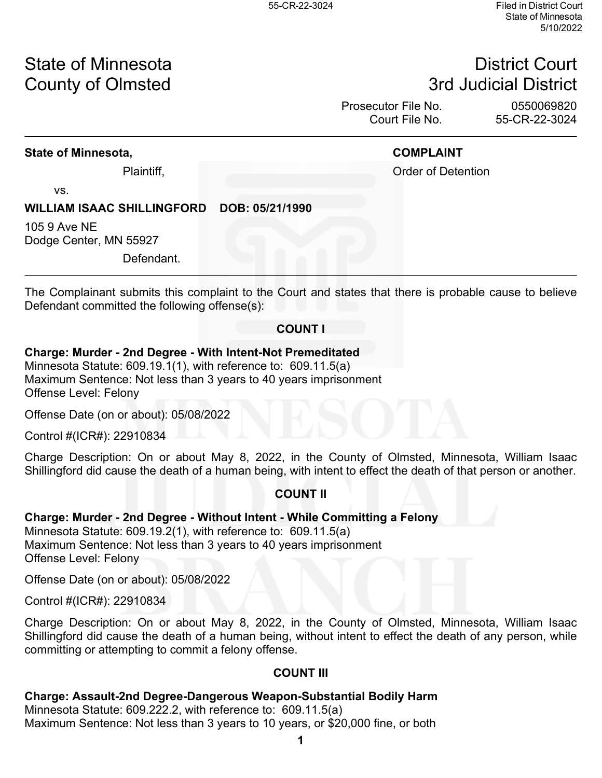# State of Minnesota **District Court County of Olmsted 2008 County of Olmsted 3rd Judicial District**

Prosecutor File No. 0550069820 Court File No. 55-CR-22-3024

### **State of Minnesota, COMPLAINT**

Plaintiff, **Plaintiff**, **Plaintiff**, **Plaintiff**, **Order of Detention** 

vs.

# **WILLIAM ISAAC SHILLINGFORD DOB: 05/21/1990**

105 9 Ave NE Dodge Center, MN 55927

Defendant.

The Complainant submits this complaint to the Court and states that there is probable cause to believe Defendant committed the following offense(s):

### **COUNT I**

### **Charge: Murder - 2nd Degree - With Intent-Not Premeditated**

Minnesota Statute: 609.19.1(1), with reference to: 609.11.5(a) Maximum Sentence: Not less than 3 years to 40 years imprisonment Offense Level: Felony

Offense Date (on or about): 05/08/2022

Control #(ICR#): 22910834

Charge Description: On or about May 8, 2022, in the County of Olmsted, Minnesota, William Isaac Shillingford did cause the death of a human being, with intent to effect the death of that person or another.

# **COUNT II**

# **Charge: Murder - 2nd Degree - Without Intent - While Committing a Felony**

Minnesota Statute: 609.19.2(1), with reference to: 609.11.5(a) Maximum Sentence: Not less than 3 years to 40 years imprisonment Offense Level: Felony

Offense Date (on or about): 05/08/2022

Control #(ICR#): 22910834

Charge Description: On or about May 8, 2022, in the County of Olmsted, Minnesota, William Isaac Shillingford did cause the death of a human being, without intent to effect the death of any person, while committing or attempting to commit a felony offense.

### **COUNT III**

### **Charge: Assault-2nd Degree-Dangerous Weapon-Substantial Bodily Harm**

Minnesota Statute: 609.222.2, with reference to: 609.11.5(a) Maximum Sentence: Not less than 3 years to 10 years, or \$20,000 fine, or both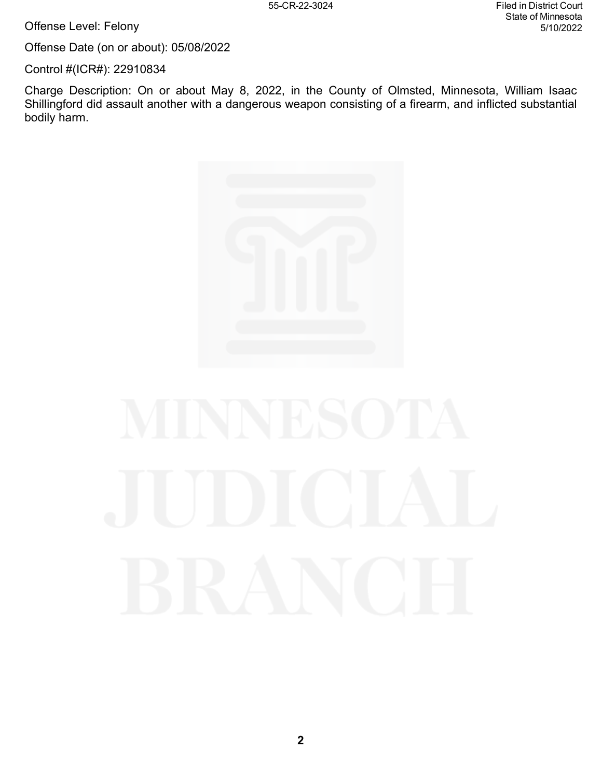Offense Level: Felony

Offense Date (on or about): 05/08/2022

Control #(ICR#): 22910834

Charge Description: On or about May 8, 2022, in the County of Olmsted, Minnesota, William Isaac Shillingford did assault another with a dangerous weapon consisting of a firearm, and inflicted substantial bodily harm.

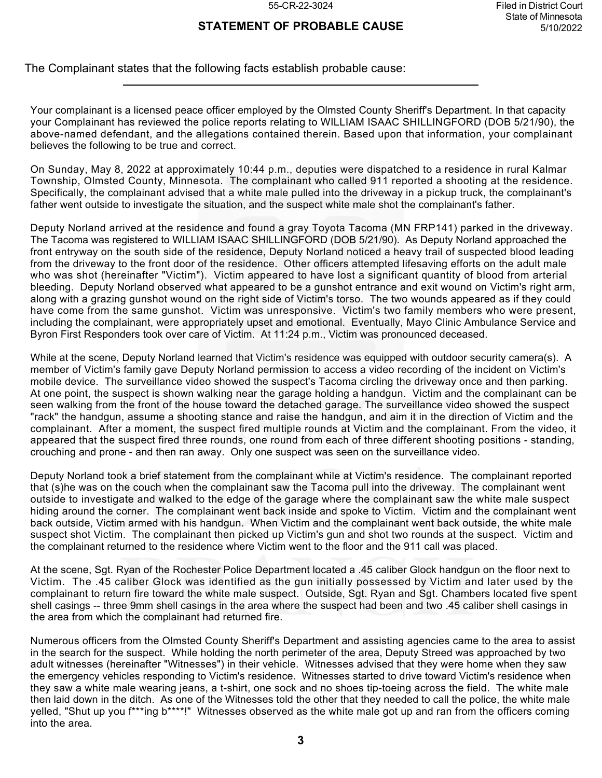# **STATEMENT OF PROBABLE CAUSE**

The Complainant states that the following facts establish probable cause:

Your complainant is a licensed peace officer employed by the Olmsted County Sheriff's Department. In that capacity your Complainant has reviewed the police reports relating to WILLIAM ISAAC SHILLINGFORD (DOB 5/21/90), the above-named defendant, and the allegations contained therein. Based upon that information, your complainant believes the following to be true and correct.

On Sunday, May 8, 2022 at approximately 10:44 p.m., deputies were dispatched to a residence in rural Kalmar Township, Olmsted County, Minnesota. The complainant who called 911 reported a shooting at the residence. Specifically, the complainant advised that a white male pulled into the driveway in a pickup truck, the complainant's father went outside to investigate the situation, and the suspect white male shot the complainant's father.

Deputy Norland arrived at the residence and found a gray Toyota Tacoma (MN FRP141) parked in the driveway. The Tacoma was registered to WILLIAM ISAAC SHILLINGFORD (DOB 5/21/90). As Deputy Norland approached the front entryway on the south side of the residence, Deputy Norland noticed a heavy trail of suspected blood leading from the driveway to the front door of the residence. Other officers attempted lifesaving efforts on the adult male who was shot (hereinafter "Victim"). Victim appeared to have lost a significant quantity of blood from arterial bleeding. Deputy Norland observed what appeared to be a gunshot entrance and exit wound on Victim's right arm, along with a grazing gunshot wound on the right side of Victim's torso. The two wounds appeared as if they could have come from the same gunshot. Victim was unresponsive. Victim's two family members who were present, including the complainant, were appropriately upset and emotional. Eventually, Mayo Clinic Ambulance Service and Byron First Responders took over care of Victim. At 11:24 p.m., Victim was pronounced deceased.

While at the scene, Deputy Norland learned that Victim's residence was equipped with outdoor security camera(s). A member of Victim's family gave Deputy Norland permission to access a video recording of the incident on Victim's mobile device. The surveillance video showed the suspect's Tacoma circling the driveway once and then parking. At one point, the suspect is shown walking near the garage holding a handgun. Victim and the complainant can be seen walking from the front of the house toward the detached garage. The surveillance video showed the suspect "rack" the handgun, assume a shooting stance and raise the handgun, and aim it in the direction of Victim and the complainant. After a moment, the suspect fired multiple rounds at Victim and the complainant. From the video, it appeared that the suspect fired three rounds, one round from each of three different shooting positions - standing, crouching and prone - and then ran away. Only one suspect was seen on the surveillance video.

Deputy Norland took a brief statement from the complainant while at Victim's residence. The complainant reported that (s)he was on the couch when the complainant saw the Tacoma pull into the driveway. The complainant went outside to investigate and walked to the edge of the garage where the complainant saw the white male suspect hiding around the corner. The complainant went back inside and spoke to Victim. Victim and the complainant went back outside, Victim armed with his handgun. When Victim and the complainant went back outside, the white male suspect shot Victim. The complainant then picked up Victim's gun and shot two rounds at the suspect. Victim and the complainant returned to the residence where Victim went to the floor and the 911 call was placed.

At the scene, Sgt. Ryan of the Rochester Police Department located a .45 caliber Glock handgun on the floor next to Victim. The .45 caliber Glock was identified as the gun initially possessed by Victim and later used by the complainant to return fire toward the white male suspect. Outside, Sgt. Ryan and Sgt. Chambers located five spent shell casings -- three 9mm shell casings in the area where the suspect had been and two .45 caliber shell casings in the area from which the complainant had returned fire.

Numerous officers from the Olmsted County Sheriff's Department and assisting agencies came to the area to assist in the search for the suspect. While holding the north perimeter of the area, Deputy Streed was approached by two adult witnesses (hereinafter "Witnesses") in their vehicle. Witnesses advised that they were home when they saw the emergency vehicles responding to Victim's residence. Witnesses started to drive toward Victim's residence when they saw a white male wearing jeans, a t-shirt, one sock and no shoes tip-toeing across the field. The white male then laid down in the ditch. As one of the Witnesses told the other that they needed to call the police, the white male yelled, "Shut up you f\*\*\*ing b\*\*\*\*!" Witnesses observed as the white male got up and ran from the officers coming into the area.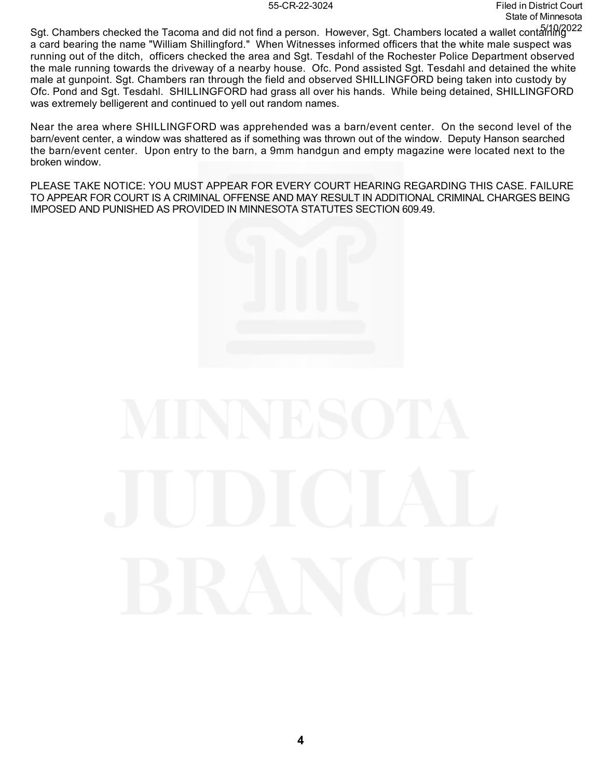Sgt. Chambers checked the Tacoma and did not find a person. However, Sgt. Chambers located a wallet containing 5/10/2022a card bearing the name "William Shillingford." When Witnesses informed officers that the white male suspect was running out of the ditch, officers checked the area and Sgt. Tesdahl of the Rochester Police Department observed the male running towards the driveway of a nearby house. Ofc. Pond assisted Sgt. Tesdahl and detained the white male at gunpoint. Sgt. Chambers ran through the field and observed SHILLINGFORD being taken into custody by Ofc. Pond and Sgt. Tesdahl. SHILLINGFORD had grass all over his hands. While being detained, SHILLINGFORD was extremely belligerent and continued to yell out random names.

Near the area where SHILLINGFORD was apprehended was a barn/event center. On the second level of the barn/event center, a window was shattered as if something was thrown out of the window. Deputy Hanson searched the barn/event center. Upon entry to the barn, a 9mm handgun and empty magazine were located next to the broken window.

PLEASE TAKE NOTICE: YOU MUST APPEAR FOR EVERY COURT HEARING REGARDING THIS CASE. FAILURE TO APPEAR FOR COURT IS A CRIMINAL OFFENSE AND MAY RESULT IN ADDITIONAL CRIMINAL CHARGES BEING IMPOSED AND PUNISHED AS PROVIDED IN MINNESOTA STATUTES SECTION 609.49.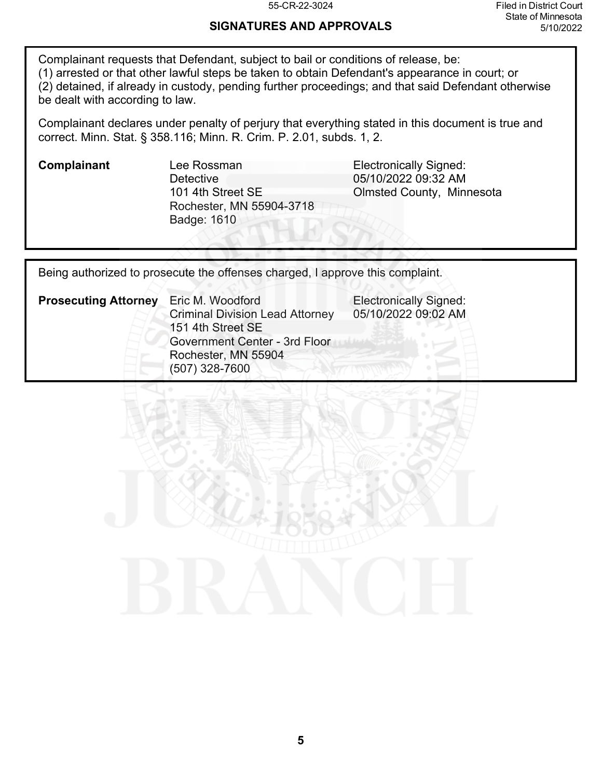# **SIGNATURES AND APPROVALS**

Complainant requests that Defendant, subject to bail or conditions of release, be: (1) arrested or that other lawful steps be taken to obtain Defendant's appearance in court; or (2) detained, if already in custody, pending further proceedings; and that said Defendant otherwise be dealt with according to law.

Complainant declares under penalty of perjury that everything stated in this document is true and correct. Minn. Stat. § 358.116; Minn. R. Crim. P. 2.01, subds. 1, 2.

**Complainant** Lee Rossman **Complainant** Lee Rossman **Detective** 101 4th Street SE Rochester, MN 55904-3718 Badge: 1610

05/10/2022 09:32 AM Olmsted County, Minnesota

Being authorized to prosecute the offenses charged, I approve this complaint.

| <b>Prosecuting Attorney</b> | Eric M. Woodford                                            | <b>Electronically Signed:</b><br>05/10/2022 09:02 AM |
|-----------------------------|-------------------------------------------------------------|------------------------------------------------------|
|                             | <b>Criminal Division Lead Attorney</b><br>151 4th Street SE |                                                      |
|                             | <b>Government Center - 3rd Floor</b>                        |                                                      |
|                             | Rochester, MN 55904                                         |                                                      |
|                             | $(507)$ 328-7600                                            |                                                      |

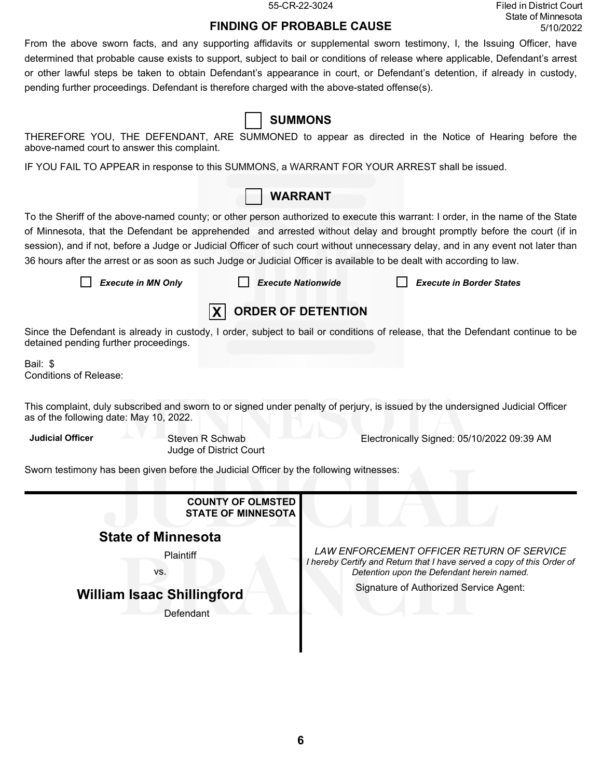55-CR-22-3024 Filed in District Court State of Minnesota 5/10/2022

# **FINDING OF PROBABLE CAUSE**

From the above sworn facts, and any supporting affidavits or supplemental sworn testimony, I, the Issuing Officer, have determined that probable cause exists to support, subject to bail or conditions of release where applicable, Defendant's arrest or other lawful steps be taken to obtain Defendant's appearance in court, or Defendant's detention, if already in custody, pending further proceedings. Defendant is therefore charged with the above-stated offense(s).

| <b>SUMMONS</b>                                                                                                                                                                                                                                                                                                                                                                                                                                                                                                            |                                                                                                                                 |                                                                                                                                                                   |                                                                                                                                |  |  |  |
|---------------------------------------------------------------------------------------------------------------------------------------------------------------------------------------------------------------------------------------------------------------------------------------------------------------------------------------------------------------------------------------------------------------------------------------------------------------------------------------------------------------------------|---------------------------------------------------------------------------------------------------------------------------------|-------------------------------------------------------------------------------------------------------------------------------------------------------------------|--------------------------------------------------------------------------------------------------------------------------------|--|--|--|
| above-named court to answer this complaint.                                                                                                                                                                                                                                                                                                                                                                                                                                                                               |                                                                                                                                 |                                                                                                                                                                   | THEREFORE YOU, THE DEFENDANT, ARE SUMMONED to appear as directed in the Notice of Hearing before the                           |  |  |  |
| IF YOU FAIL TO APPEAR in response to this SUMMONS, a WARRANT FOR YOUR ARREST shall be issued.                                                                                                                                                                                                                                                                                                                                                                                                                             |                                                                                                                                 |                                                                                                                                                                   |                                                                                                                                |  |  |  |
|                                                                                                                                                                                                                                                                                                                                                                                                                                                                                                                           | <b>WARRANT</b>                                                                                                                  |                                                                                                                                                                   |                                                                                                                                |  |  |  |
| To the Sheriff of the above-named county; or other person authorized to execute this warrant: I order, in the name of the State<br>of Minnesota, that the Defendant be apprehended and arrested without delay and brought promptly before the court (if in<br>session), and if not, before a Judge or Judicial Officer of such court without unnecessary delay, and in any event not later than<br>36 hours after the arrest or as soon as such Judge or Judicial Officer is available to be dealt with according to law. |                                                                                                                                 |                                                                                                                                                                   |                                                                                                                                |  |  |  |
| <b>Execute in MN Only</b>                                                                                                                                                                                                                                                                                                                                                                                                                                                                                                 | <b>Execute Nationwide</b>                                                                                                       |                                                                                                                                                                   | <b>Execute in Border States</b>                                                                                                |  |  |  |
|                                                                                                                                                                                                                                                                                                                                                                                                                                                                                                                           | <b>ORDER OF DETENTION</b><br>$\mathbf{X}$                                                                                       |                                                                                                                                                                   |                                                                                                                                |  |  |  |
| detained pending further proceedings.                                                                                                                                                                                                                                                                                                                                                                                                                                                                                     | Since the Defendant is already in custody, I order, subject to bail or conditions of release, that the Defendant continue to be |                                                                                                                                                                   |                                                                                                                                |  |  |  |
| Bail: \$<br><b>Conditions of Release:</b>                                                                                                                                                                                                                                                                                                                                                                                                                                                                                 |                                                                                                                                 |                                                                                                                                                                   |                                                                                                                                |  |  |  |
| as of the following date: May 10, 2022.                                                                                                                                                                                                                                                                                                                                                                                                                                                                                   |                                                                                                                                 |                                                                                                                                                                   | This complaint, duly subscribed and sworn to or signed under penalty of perjury, is issued by the undersigned Judicial Officer |  |  |  |
| <b>Judicial Officer</b><br><b>Steven R Schwab</b><br>Electronically Signed: 05/10/2022 09:39 AM<br>Judge of District Court                                                                                                                                                                                                                                                                                                                                                                                                |                                                                                                                                 |                                                                                                                                                                   |                                                                                                                                |  |  |  |
| Sworn testimony has been given before the Judicial Officer by the following witnesses:                                                                                                                                                                                                                                                                                                                                                                                                                                    |                                                                                                                                 |                                                                                                                                                                   |                                                                                                                                |  |  |  |
|                                                                                                                                                                                                                                                                                                                                                                                                                                                                                                                           | <b>COUNTY OF OLMSTED</b>                                                                                                        |                                                                                                                                                                   |                                                                                                                                |  |  |  |
|                                                                                                                                                                                                                                                                                                                                                                                                                                                                                                                           | <b>STATE OF MINNESOTA</b>                                                                                                       |                                                                                                                                                                   |                                                                                                                                |  |  |  |
| <b>State of Minnesota</b>                                                                                                                                                                                                                                                                                                                                                                                                                                                                                                 |                                                                                                                                 |                                                                                                                                                                   |                                                                                                                                |  |  |  |
| Plaintiff<br>VS.                                                                                                                                                                                                                                                                                                                                                                                                                                                                                                          |                                                                                                                                 | LAW ENFORCEMENT OFFICER RETURN OF SERVICE<br>I hereby Certify and Return that I have served a copy of this Order of<br>Detention upon the Defendant herein named. |                                                                                                                                |  |  |  |
| <b>William Isaac Shillingford</b>                                                                                                                                                                                                                                                                                                                                                                                                                                                                                         |                                                                                                                                 |                                                                                                                                                                   | Signature of Authorized Service Agent:                                                                                         |  |  |  |
| Defendant                                                                                                                                                                                                                                                                                                                                                                                                                                                                                                                 |                                                                                                                                 |                                                                                                                                                                   |                                                                                                                                |  |  |  |
|                                                                                                                                                                                                                                                                                                                                                                                                                                                                                                                           |                                                                                                                                 |                                                                                                                                                                   |                                                                                                                                |  |  |  |
|                                                                                                                                                                                                                                                                                                                                                                                                                                                                                                                           |                                                                                                                                 |                                                                                                                                                                   |                                                                                                                                |  |  |  |
|                                                                                                                                                                                                                                                                                                                                                                                                                                                                                                                           |                                                                                                                                 |                                                                                                                                                                   |                                                                                                                                |  |  |  |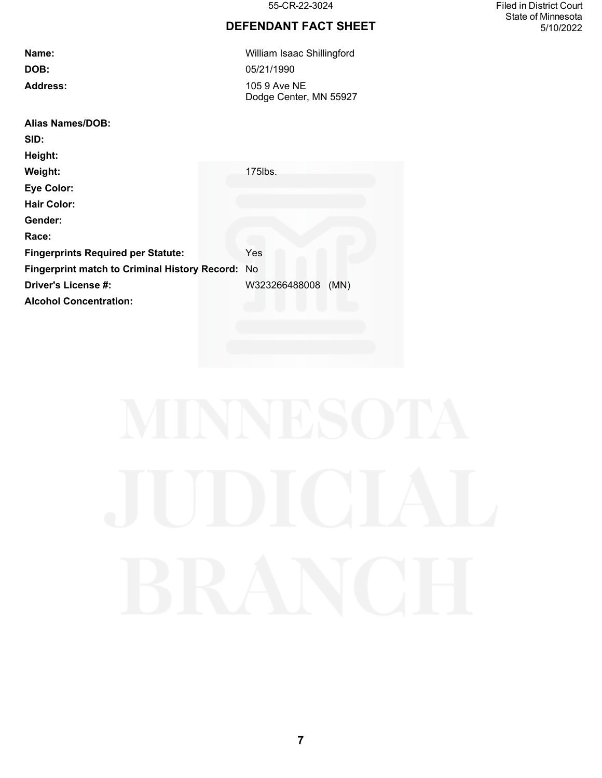# **DEFENDANT FACT SHEET**

| Name:                                            | William Isaac Shillingford             |
|--------------------------------------------------|----------------------------------------|
| DOB:                                             | 05/21/1990                             |
| <b>Address:</b>                                  | 105 9 Ave NE<br>Dodge Center, MN 55927 |
| <b>Alias Names/DOB:</b>                          |                                        |
| SID:                                             |                                        |
| Height:                                          |                                        |
| Weight:                                          | 175lbs.                                |
| <b>Eye Color:</b>                                |                                        |
| <b>Hair Color:</b>                               |                                        |
| Gender:                                          |                                        |
| Race:                                            |                                        |
| <b>Fingerprints Required per Statute:</b>        | Yes                                    |
| Fingerprint match to Criminal History Record: No |                                        |
| Driver's License #:                              | W323266488008<br>(MN)                  |
| <b>Alcohol Concentration:</b>                    |                                        |

55-CR-22-3024 Filed in District Court State of Minnesota 5/10/2022